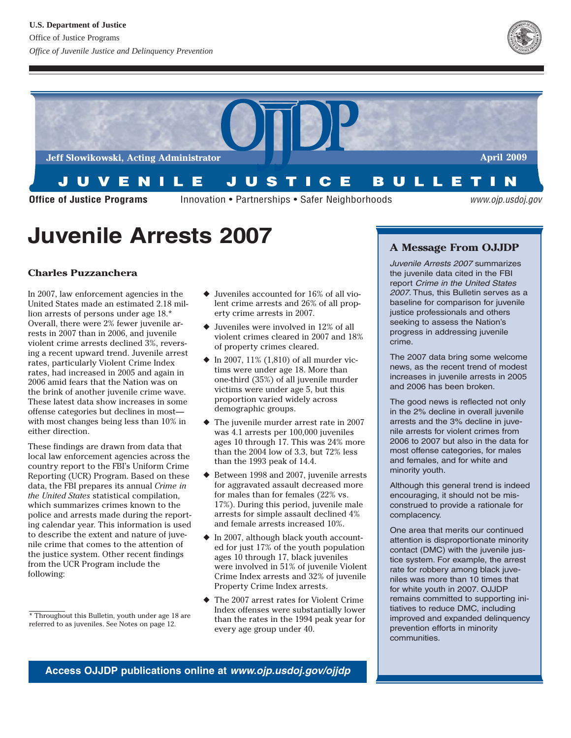



# **Juvenile Arrests 2007**

# **Charles Puzzanchera**

In 2007, law enforcement agencies in the United States made an estimated 2.18 million arrests of persons under age 18.\* Overall, there were 2% fewer juvenile arrests in 2007 than in 2006, and juvenile violent crime arrests declined 3%, reversing a recent upward trend. Juvenile arrest rates, particularly Violent Crime Index rates, had increased in 2005 and again in 2006 amid fears that the Nation was on the brink of another juvenile crime wave. These latest data show increases in some offense categories but declines in most with most changes being less than 10% in either direction.

These findings are drawn from data that local law enforcement agencies across the country report to the FBI's Uniform Crime Reporting (UCR) Program. Based on these data, the FBI prepares its annual *Crime in the United States* statistical compilation, which summarizes crimes known to the police and arrests made during the reporting calendar year. This information is used to describe the extent and nature of juvenile crime that comes to the attention of the justice system. Other recent findings from the UCR Program include the following:

- ◆ Juveniles accounted for 16% of all violent crime arrests and 26% of all property crime arrests in 2007.
- ◆ Juveniles were involved in 12% of all violent crimes cleared in 2007 and 18% of property crimes cleared.
- $\blacklozenge$  In 2007, 11% (1,810) of all murder victims were under age 18. More than one-third (35%) of all juvenile murder victims were under age 5, but this proportion varied widely across demographic groups.
- ◆ The juvenile murder arrest rate in 2007 was 4.1 arrests per 100,000 juveniles ages 10 through 17. This was 24% more than the 2004 low of 3.3, but 72% less than the 1993 peak of 14.4.
- ◆ Between 1998 and 2007, juvenile arrests for aggravated assault decreased more for males than for females (22% vs. 17%). During this period, juvenile male arrests for simple assault declined 4% and female arrests increased 10%.
- ◆ In 2007, although black youth accounted for just 17% of the youth population ages 10 through 17, black juveniles were involved in 51% of juvenile Violent Crime Index arrests and 32% of juvenile Property Crime Index arrests.
- ◆ The 2007 arrest rates for Violent Crime Index offenses were substantially lower than the rates in the 1994 peak year for every age group under 40.

## **A Message From OJJDP**

Juvenile Arrests 2007 summarizes the juvenile data cited in the FBI report Crime in the United States <sup>2007</sup>. Thus, this Bulletin serves as a baseline for comparison for juvenile justice professionals and others seeking to assess the Nation's progress in addressing juvenile crime.

The 2007 data bring some welcome news, as the recent trend of modest increases in juvenile arrests in 2005 and 2006 has been broken.

The good news is reflected not only in the 2% decline in overall juvenile arrests and the 3% decline in juvenile arrests for violent crimes from 2006 to 2007 but also in the data for most offense categories, for males and females, and for white and minority youth.

Although this general trend is indeed encouraging, it should not be misconstrued to provide a rationale for complacency.

One area that merits our continued attention is disproportionate minority contact (DMC) with the juvenile justice system. For example, the arrest rate for robbery among black juveniles was more than 10 times that for white youth in 2007. OJJDP remains committed to supporting initiatives to reduce DMC, including improved and expanded delinquency prevention efforts in minority communities.

**Access OJJDP publications online at www.ojp.usdoj.gov/ojjdp** 

<sup>\*</sup> Throughout this Bulletin, youth under age 18 are referred to as juveniles. See Notes on page 12.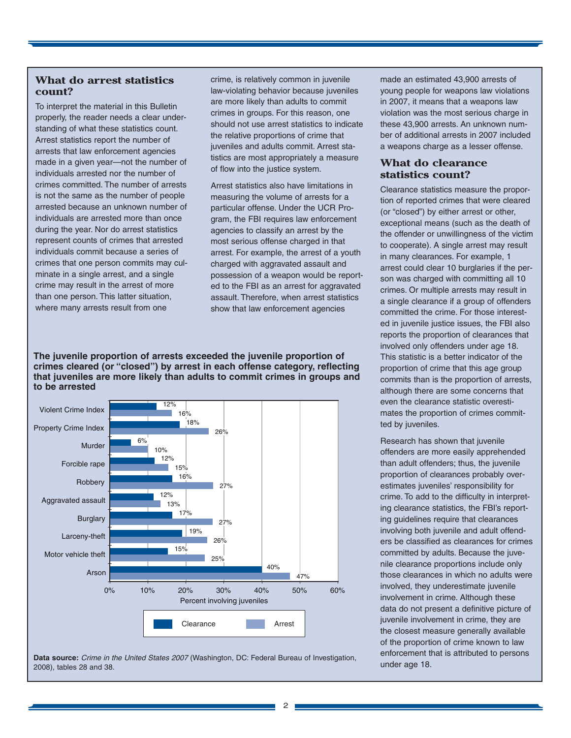## **What do arrest statistics count?**

To interpret the material in this Bulletin properly, the reader needs a clear understanding of what these statistics count. Arrest statistics report the number of arrests that law enforcement agencies made in a given year—not the number of individuals arrested nor the number of crimes committed. The number of arrests is not the same as the number of people arrested because an unknown number of individuals are arrested more than once during the year. Nor do arrest statistics represent counts of crimes that arrested individuals commit because a series of crimes that one person commits may culminate in a single arrest, and a single crime may result in the arrest of more than one person. This latter situation, where many arrests result from one

crime, is relatively common in juvenile law-violating behavior because juveniles are more likely than adults to commit crimes in groups. For this reason, one should not use arrest statistics to indicate the relative proportions of crime that juveniles and adults commit. Arrest statistics are most appropriately a measure of flow into the justice system.

Arrest statistics also have limitations in measuring the volume of arrests for a particular offense. Under the UCR Program, the FBI requires law enforcement agencies to classify an arrest by the most serious offense charged in that arrest. For example, the arrest of a youth charged with aggravated assault and possession of a weapon would be reported to the FBI as an arrest for aggravated assault. Therefore, when arrest statistics show that law enforcement agencies

**The juvenile proportion of arrests exceeded the juvenile proportion of crimes cleared (or "closed") by arrest in each offense category, reflecting that juveniles are more likely than adults to commit crimes in groups and to be arrested** 



**Data source:** Crime in the United States 2007 (Washington, DC: Federal Bureau of Investigation, 2008), tables 28 and 38.

made an estimated 43,900 arrests of young people for weapons law violations in 2007, it means that a weapons law violation was the most serious charge in these 43,900 arrests. An unknown number of additional arrests in 2007 included a weapons charge as a lesser offense.

## **What do clearance statistics count?**

Clearance statistics measure the proportion of reported crimes that were cleared (or "closed") by either arrest or other, exceptional means (such as the death of the offender or unwillingness of the victim to cooperate). A single arrest may result in many clearances. For example, 1 arrest could clear 10 burglaries if the person was charged with committing all 10 crimes. Or multiple arrests may result in a single clearance if a group of offenders committed the crime. For those interested in juvenile justice issues, the FBI also reports the proportion of clearances that involved only offenders under age 18. This statistic is a better indicator of the proportion of crime that this age group commits than is the proportion of arrests, although there are some concerns that even the clearance statistic overestimates the proportion of crimes committed by juveniles.

Research has shown that juvenile offenders are more easily apprehended than adult offenders; thus, the juvenile proportion of clearances probably overestimates juveniles' responsibility for crime. To add to the difficulty in interpreting clearance statistics, the FBI's reporting guidelines require that clearances involving both juvenile and adult offenders be classified as clearances for crimes committed by adults. Because the juvenile clearance proportions include only those clearances in which no adults were involved, they underestimate juvenile involvement in crime. Although these data do not present a definitive picture of juvenile involvement in crime, they are the closest measure generally available of the proportion of crime known to law enforcement that is attributed to persons under age 18.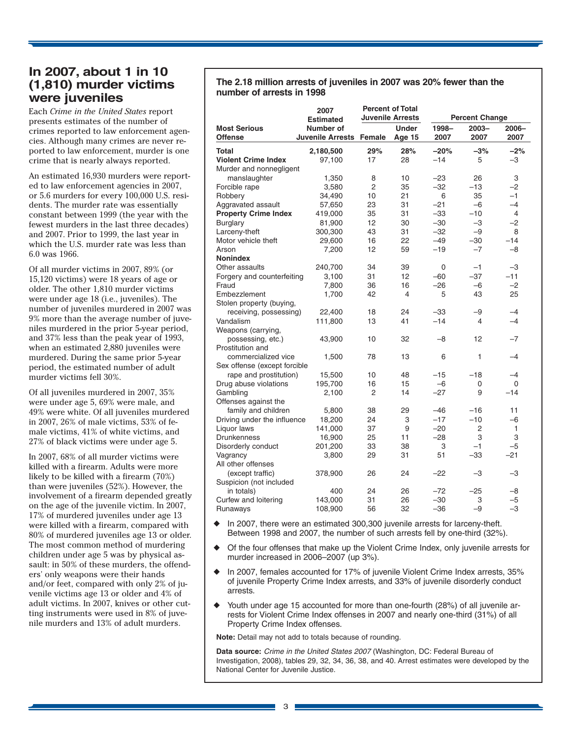# **In 2007, about 1 in 10 (1,810) murder victims were juveniles**

Each *Crime in the United States* report presents estimates of the number of crimes reported to law enforcement agencies. Although many crimes are never reported to law enforcement, murder is one crime that is nearly always reported.

An estimated 16,930 murders were reported to law enforcement agencies in 2007, or 5.6 murders for every 100,000 U.S. residents. The murder rate was essentially constant between 1999 (the year with the fewest murders in the last three decades) and 2007. Prior to 1999, the last year in which the U.S. murder rate was less than 6.0 was 1966.

Of all murder victims in 2007, 89% (or 15,120 victims) were 18 years of age or older. The other 1,810 murder victims were under age 18 (i.e., juveniles). The number of juveniles murdered in 2007 was 9% more than the average number of juveniles murdered in the prior 5-year period, and 37% less than the peak year of 1993, when an estimated 2,880 juveniles were murdered. During the same prior 5-year period, the estimated number of adult murder victims fell 30%.

Of all juveniles murdered in 2007, 35% were under age 5, 69% were male, and 49% were white. Of all juveniles murdered in 2007, 26% of male victims, 53% of female victims, 41% of white victims, and 27% of black victims were under age 5.

In 2007, 68% of all murder victims were killed with a firearm. Adults were more likely to be killed with a firearm (70%) than were juveniles (52%). However, the involvement of a firearm depended greatly on the age of the juvenile victim. In 2007, 17% of murdered juveniles under age 13 were killed with a firearm, compared with 80% of murdered juveniles age 13 or older. The most common method of murdering children under age 5 was by physical assault: in 50% of these murders, the offenders' only weapons were their hands and/or feet, compared with only 2% of juvenile victims age 13 or older and 4% of adult victims. In 2007, knives or other cutting instruments were used in 8% of juvenile murders and 13% of adult murders.

## **The 2.18 million arrests of juveniles in 2007 was 20% fewer than the number of arrests in 1998**

|                                       | 2007<br><b>Estimated</b>      | <b>Percent of Total</b><br><b>Juvenile Arrests</b> |                        | <b>Percent Change</b> |                  |               |  |
|---------------------------------------|-------------------------------|----------------------------------------------------|------------------------|-----------------------|------------------|---------------|--|
| <b>Most Serious</b><br><b>Offense</b> | Number of<br>Juvenile Arrests | Female                                             | <b>Under</b><br>Age 15 | 1998-<br>2007         | $2003 -$<br>2007 | 2006-<br>2007 |  |
| Total                                 | 2,180,500                     | 29%                                                | 28%                    | $-20%$                | $-3%$            | $-2%$         |  |
| <b>Violent Crime Index</b>            | 97,100                        | 17                                                 | 28                     | $-14$                 | 5                | $-3$          |  |
| Murder and nonnegligent               |                               |                                                    |                        |                       |                  |               |  |
| manslaughter                          | 1,350                         | 8                                                  | 10                     | $-23$                 | 26               | 3             |  |
| Forcible rape                         | 3,580                         | $\overline{2}$                                     | 35                     | $-32$                 | $-13$            | $-2$          |  |
| Robbery                               | 34,490                        | 10                                                 | 21                     | 6                     | 35               | $-1$          |  |
| Aggravated assault                    | 57,650                        | 23                                                 | 31                     | $-21$                 | $-6$             | $-4$          |  |
| <b>Property Crime Index</b>           | 419,000                       | 35                                                 | 31                     | $-33$                 | $-10$            | 4             |  |
| Burglary                              | 81,900                        | 12                                                 | 30                     | $-30$                 | $-3$             | $-2$          |  |
| Larceny-theft                         | 300,300                       | 43                                                 | 31                     | $-32$                 | $-9$             | 8             |  |
| Motor vehicle theft                   | 29,600                        | 16                                                 | 22                     | $-49$                 | $-30$            | $-14$         |  |
| Arson                                 | 7,200                         | 12                                                 | 59                     | $-19$                 | $-7$             | $-8$          |  |
| <b>Nonindex</b>                       |                               |                                                    |                        |                       |                  |               |  |
| Other assaults                        | 240,700                       | 34                                                 | 39                     | 0                     | $-1$             | $-3$          |  |
| Forgery and counterfeiting            | 3,100                         | 31                                                 | $12 \overline{ }$      | $-60$                 | $-37$            | $-11$         |  |
| Fraud                                 | 7,800                         | 36                                                 | 16                     | $-26$                 | $-6$             | $-2$          |  |
|                                       |                               |                                                    |                        |                       |                  |               |  |
| Embezzlement                          | 1,700                         | 42                                                 | 4                      | 5                     | 43               | 25            |  |
| Stolen property (buying,              |                               |                                                    |                        |                       |                  |               |  |
| receiving, possessing)                | 22,400                        | 18                                                 | 24                     | $-33$                 | -9               | $-4$          |  |
| Vandalism                             | 111,800                       | 13                                                 | 41                     | $-14$                 | $\overline{4}$   | $-4$          |  |
| Weapons (carrying,                    |                               |                                                    |                        |                       |                  |               |  |
| possessing, etc.)                     | 43,900                        | 10                                                 | 32                     | $-8$                  | 12               | $-7$          |  |
| Prostitution and                      |                               |                                                    |                        |                       |                  |               |  |
| commercialized vice                   | 1,500                         | 78                                                 | 13                     | 6                     | $\mathbf{1}$     | $-4$          |  |
| Sex offense (except forcible          |                               |                                                    |                        |                       |                  |               |  |
| rape and prostitution)                | 15,500                        | 10                                                 | 48                     | $-15$                 | $-18$            | $-4$          |  |
| Drug abuse violations                 | 195,700                       | 16                                                 | 15                     | $-6$                  | 0                | $\Omega$      |  |
| Gambling                              | 2,100                         | $\overline{2}$                                     | 14                     | $-27$                 | 9                | $-14$         |  |
| Offenses against the                  |                               |                                                    |                        |                       |                  |               |  |
| family and children                   | 5,800                         | 38                                                 | 29                     | $-46$                 | $-16$            | 11            |  |
| Driving under the influence           | 18,200                        | 24                                                 | 3                      | $-17$                 | $-10$            | $-6$          |  |
| Liquor laws                           | 141,000                       | 37                                                 | 9                      | $-20$                 | $\overline{2}$   | 1             |  |
| <b>Drunkenness</b>                    | 16,900                        | 25                                                 | 11                     | $-28$                 | 3                | 3             |  |
| Disorderly conduct                    | 201,200                       | 33                                                 | 38                     | 3                     | $-1$             | $-5$          |  |
| Vagrancy                              | 3,800                         | 29                                                 | 31                     | 51                    | $-33$            | $-21$         |  |
| All other offenses                    |                               |                                                    |                        |                       |                  |               |  |
| (except traffic)                      | 378,900                       | 26                                                 | 24                     | $-22$                 | $-3$             | $-3$          |  |
| Suspicion (not included               |                               |                                                    |                        |                       |                  |               |  |
| in totals)                            | 400                           | 24                                                 | 26                     | $-72$                 | $-25$            | $-8$          |  |
| Curfew and loitering                  | 143,000                       | 31                                                 | 26                     | $-30$                 | 3                | $-5$          |  |
| Runaways                              | 108,900                       | 56                                                 | 32                     | $-36$                 | $-9$             | $-3$          |  |

- In 2007, there were an estimated 300,300 juvenile arrests for larceny-theft. Between 1998 and 2007, the number of such arrests fell by one-third (32%).
- Of the four offenses that make up the Violent Crime Index, only juvenile arrests for murder increased in 2006–2007 (up 3%).
- In 2007, females accounted for 17% of juvenile Violent Crime Index arrests, 35% of juvenile Property Crime Index arrests, and 33% of juvenile disorderly conduct arrests.
- Youth under age 15 accounted for more than one-fourth (28%) of all juvenile arrests for Violent Crime Index offenses in 2007 and nearly one-third (31%) of all Property Crime Index offenses.

**Note:** Detail may not add to totals because of rounding.

**Data source:** Crime in the United States 2007 (Washington, DC: Federal Bureau of Investigation, 2008), tables 29, 32, 34, 36, 38, and 40. Arrest estimates were developed by the National Center for Juvenile Justice.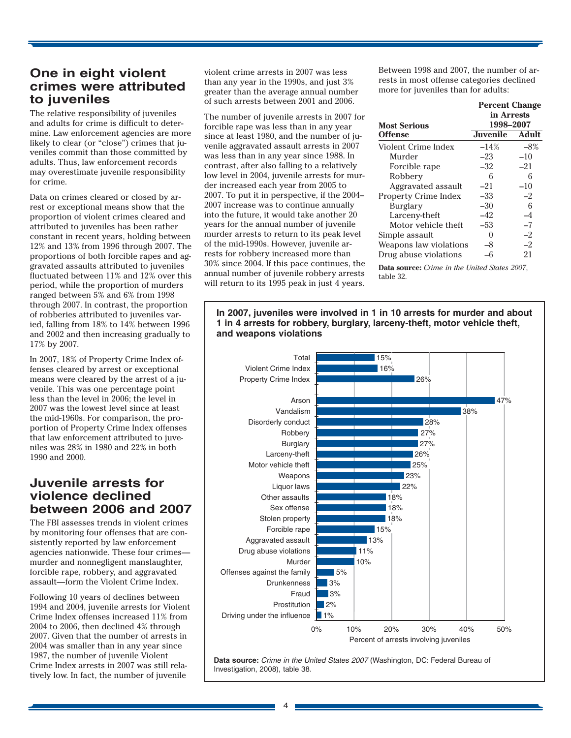# **One in eight violent crimes were attributed to juveniles**

The relative responsibility of juveniles and adults for crime is difficult to determine. Law enforcement agencies are more likely to clear (or "close") crimes that juveniles commit than those committed by adults. Thus, law enforcement records may overestimate juvenile responsibility for crime.

Data on crimes cleared or closed by arrest or exceptional means show that the proportion of violent crimes cleared and attributed to juveniles has been rather constant in recent years, holding between 12% and 13% from 1996 through 2007. The proportions of both forcible rapes and aggravated assaults attributed to juveniles fluctuated between 11% and 12% over this period, while the proportion of murders ranged between 5% and 6% from 1998 through 2007. In contrast, the proportion of robberies attributed to juveniles varied, falling from 18% to 14% between 1996 and 2002 and then increasing gradually to 17% by 2007.

In 2007, 18% of Property Crime Index offenses cleared by arrest or exceptional means were cleared by the arrest of a juvenile. This was one percentage point less than the level in 2006; the level in 2007 was the lowest level since at least the mid-1960s. For comparison, the proportion of Property Crime Index offenses that law enforcement attributed to juveniles was 28% in 1980 and 22% in both 1990 and 2000.

# **Juvenile arrests for violence declined between 2006 and 2007**

The FBI assesses trends in violent crimes by monitoring four offenses that are consistently reported by law enforcement agencies nationwide. These four crimes murder and nonnegligent manslaughter, forcible rape, robbery, and aggravated assault—form the Violent Crime Index.

Following 10 years of declines between 1994 and 2004, juvenile arrests for Violent Crime Index offenses increased 11% from 2004 to 2006, then declined 4% through 2007. Given that the number of arrests in 2004 was smaller than in any year since 1987, the number of juvenile Violent Crime Index arrests in 2007 was still relatively low. In fact, the number of juvenile

violent crime arrests in 2007 was less than any year in the 1990s, and just 3% greater than the average annual number of such arrests between 2001 and 2006.

The number of juvenile arrests in 2007 for forcible rape was less than in any year since at least 1980, and the number of juvenile aggravated assault arrests in 2007 was less than in any year since 1988. In contrast, after also falling to a relatively low level in 2004, juvenile arrests for murder increased each year from 2005 to 2007. To put it in perspective, if the 2004– 2007 increase was to continue annually into the future, it would take another 20 years for the annual number of juvenile murder arrests to return to its peak level of the mid-1990s. However, juvenile arrests for robbery increased more than 30% since 2004. If this pace continues, the annual number of juvenile robbery arrests will return to its 1995 peak in just 4 years.

Between 1998 and 2007, the number of arrests in most offense categories declined more for juveniles than for adults:

|                             | <b>Percent Change</b>   |       |  |  |  |
|-----------------------------|-------------------------|-------|--|--|--|
| <b>Most Serious</b>         | in Arrests<br>1998-2007 |       |  |  |  |
| <b>Offense</b>              | <b>Juvenile</b>         | Adult |  |  |  |
| Violent Crime Index         | $-14%$                  | $-8%$ |  |  |  |
| Murder                      | $-23$                   | $-10$ |  |  |  |
| Forcible rape               | $-32$                   | $-21$ |  |  |  |
| Robbery                     | 6                       | 6     |  |  |  |
| Aggravated assault          | $-21$                   | $-10$ |  |  |  |
| <b>Property Crime Index</b> | $-33$                   | $-2$  |  |  |  |
| Burglary                    | $-30$                   | 6     |  |  |  |
| Larceny-theft               | -42                     | -4    |  |  |  |
| Motor vehicle theft         | $-53$                   | $-7$  |  |  |  |
| Simple assault              | $\mathbf{0}$            | $-2$  |  |  |  |
| Weapons law violations      | -8                      | $-2$  |  |  |  |
| Drug abuse violations       | -6                      | 21    |  |  |  |

**Data source:** *Crime in the United States 2007*, table 32.

**In 2007, juveniles were involved in 1 in 10 arrests for murder and about 1 in 4 arrests for robbery, burglary, larceny-theft, motor vehicle theft, and weapons violations** 



**Data source:** Crime in the United States 2007 (Washington, DC: Federal Bureau of Investigation, 2008), table 38.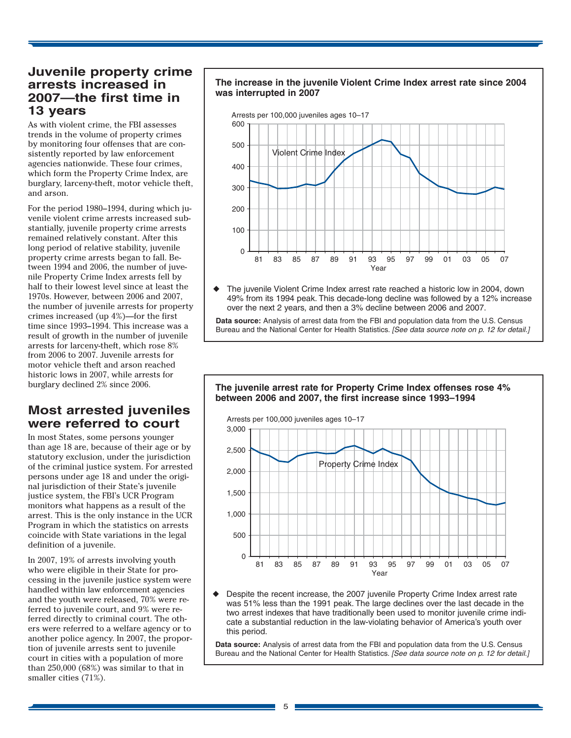# **Juvenile property crime arrests increased in 2007—the first time in 13 years**

As with violent crime, the FBI assesses trends in the volume of property crimes by monitoring four offenses that are consistently reported by law enforcement agencies nationwide. These four crimes, which form the Property Crime Index, are burglary, larceny-theft, motor vehicle theft, and arson.

For the period 1980–1994, during which juvenile violent crime arrests increased substantially, juvenile property crime arrests remained relatively constant. After this long period of relative stability, juvenile property crime arrests began to fall. Between 1994 and 2006, the number of juvenile Property Crime Index arrests fell by half to their lowest level since at least the 1970s. However, between 2006 and 2007, the number of juvenile arrests for property crimes increased (up 4%)—for the first time since 1993–1994. This increase was a result of growth in the number of juvenile arrests for larceny-theft, which rose 8% from 2006 to 2007. Juvenile arrests for motor vehicle theft and arson reached historic lows in 2007, while arrests for burglary declined 2% since 2006.

# **Most arrested juveniles were referred to court**

In most States, some persons younger than age 18 are, because of their age or by statutory exclusion, under the jurisdiction of the criminal justice system. For arrested persons under age 18 and under the original jurisdiction of their State's juvenile justice system, the FBI's UCR Program monitors what happens as a result of the arrest. This is the only instance in the UCR Program in which the statistics on arrests coincide with State variations in the legal definition of a juvenile.

In 2007, 19% of arrests involving youth who were eligible in their State for processing in the juvenile justice system were handled within law enforcement agencies and the youth were released, 70% were referred to juvenile court, and 9% were referred directly to criminal court. The others were referred to a welfare agency or to another police agency. In 2007, the proportion of juvenile arrests sent to juvenile court in cities with a population of more than 250,000 (68%) was similar to that in smaller cities (71%).

## **The increase in the juvenile Violent Crime Index arrest rate since 2004 was interrupted in 2007**



The juvenile Violent Crime Index arrest rate reached a historic low in 2004, down 49% from its 1994 peak. This decade-long decline was followed by a 12% increase over the next 2 years, and then a 3% decline between 2006 and 2007.

**Data source:** Analysis of arrest data from the FBI and population data from the U.S. Census Bureau and the National Center for Health Statistics. [See data source note on p. 12 for detail.]

## **The juvenile arrest rate for Property Crime Index offenses rose 4% between 2006 and 2007, the first increase since 1993–1994**



Despite the recent increase, the 2007 juvenile Property Crime Index arrest rate was 51% less than the 1991 peak. The large declines over the last decade in the two arrest indexes that have traditionally been used to monitor juvenile crime indicate a substantial reduction in the law-violating behavior of America's youth over this period.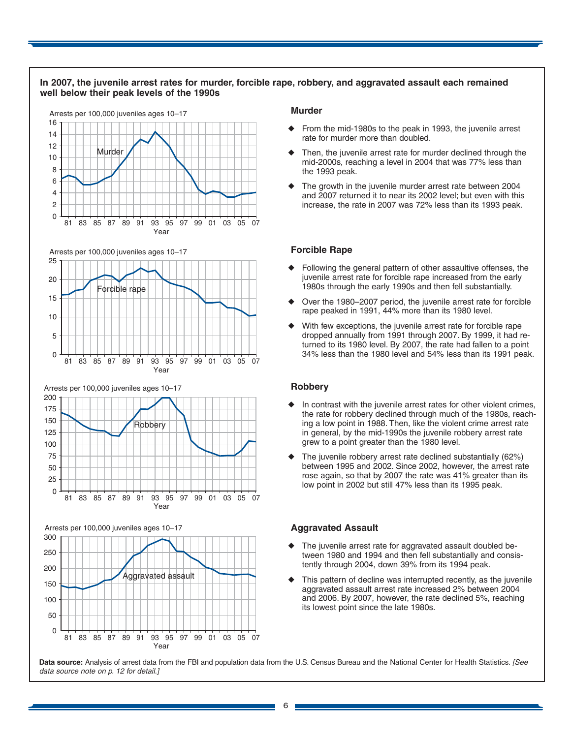



Arrests per 100,000 juveniles ages 10–17



Year

#### **Murder**

- From the mid-1980s to the peak in 1993, the juvenile arrest rate for murder more than doubled.
- Then, the juvenile arrest rate for murder declined through the mid-2000s, reaching a level in 2004 that was 77% less than the 1993 peak.
- The growth in the juvenile murder arrest rate between 2004 and 2007 returned it to near its 2002 level; but even with this increase, the rate in 2007 was 72% less than its 1993 peak.

#### **Forcible Rape**

- Following the general pattern of other assaultive offenses, the juvenile arrest rate for forcible rape increased from the early 1980s through the early 1990s and then fell substantially.
- Over the 1980–2007 period, the juvenile arrest rate for forcible rape peaked in 1991, 44% more than its 1980 level.
- With few exceptions, the juvenile arrest rate for forcible rape dropped annually from 1991 through 2007. By 1999, it had returned to its 1980 level. By 2007, the rate had fallen to a point 34% less than the 1980 level and 54% less than its 1991 peak.

#### **Robbery**

- In contrast with the juvenile arrest rates for other violent crimes, the rate for robbery declined through much of the 1980s, reaching a low point in 1988. Then, like the violent crime arrest rate in general, by the mid-1990s the juvenile robbery arrest rate grew to a point greater than the 1980 level.
- The juvenile robbery arrest rate declined substantially (62%) between 1995 and 2002. Since 2002, however, the arrest rate rose again, so that by 2007 the rate was 41% greater than its low point in 2002 but still 47% less than its 1995 peak.

#### **Aggravated Assault**

- ◆ The juvenile arrest rate for aggravated assault doubled between 1980 and 1994 and then fell substantially and consistently through 2004, down 39% from its 1994 peak.
- This pattern of decline was interrupted recently, as the juvenile aggravated assault arrest rate increased 2% between 2004 and 2006. By 2007, however, the rate declined 5%, reaching its lowest point since the late 1980s.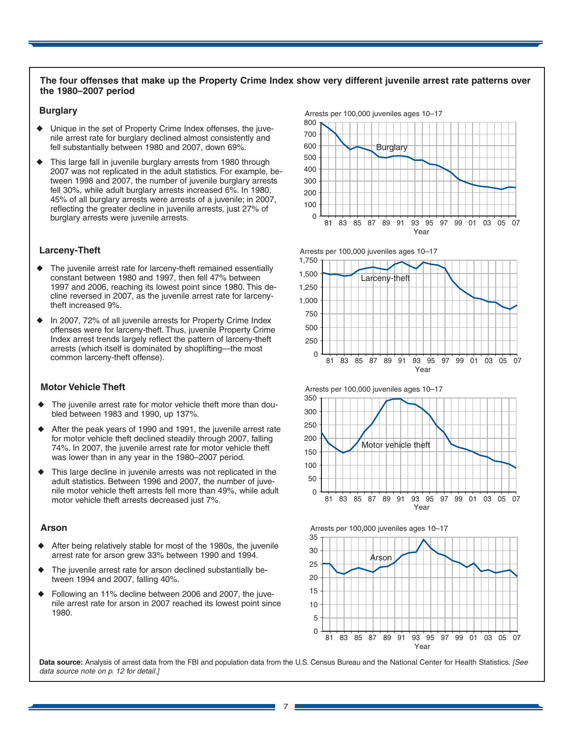#### **The four offenses that make up the Property Crime Index show very different juvenile arrest rate patterns over the 1980–2007 period**

#### **Burglary**

- Unique in the set of Property Crime Index offenses, the juvenile arrest rate for burglary declined almost consistently and fell substantially between 1980 and 2007, down 69%.
- This large fall in juvenile burglary arrests from 1980 through 2007 was not replicated in the adult statistics. For example, between 1998 and 2007, the number of juvenile burglary arrests fell 30%, while adult burglary arrests increased 6%. In 1980, 45% of all burglary arrests were arrests of a juvenile; in 2007, reflecting the greater decline in juvenile arrests, just 27% of burglary arrests were juvenile arrests.

#### **Larceny-Theft**

- The juvenile arrest rate for larceny-theft remained essentially constant between 1980 and 1997, then fell 47% between 1997 and 2006, reaching its lowest point since 1980. This decline reversed in 2007, as the juvenile arrest rate for larcenytheft increased 9%.
- In 2007, 72% of all juvenile arrests for Property Crime Index offenses were for larceny-theft. Thus, juvenile Property Crime Index arrest trends largely reflect the pattern of larceny-theft arrests (which itself is dominated by shoplifting—the most common larceny-theft offense).

#### **Motor Vehicle Theft**

- The juvenile arrest rate for motor vehicle theft more than doubled between 1983 and 1990, up 137%.
- After the peak years of 1990 and 1991, the juvenile arrest rate for motor vehicle theft declined steadily through 2007, falling 74%. In 2007, the juvenile arrest rate for motor vehicle theft was lower than in any year in the 1980–2007 period.
- This large decline in juvenile arrests was not replicated in the adult statistics. Between 1996 and 2007, the number of juvenile motor vehicle theft arrests fell more than 49%, while adult motor vehicle theft arrests decreased just 7%.

#### **Arson**

- After being relatively stable for most of the 1980s, the juvenile arrest rate for arson grew 33% between 1990 and 1994.
- The juvenile arrest rate for arson declined substantially between 1994 and 2007, falling 40%.
- Following an 11% decline between 2006 and 2007, the juvenile arrest rate for arson in 2007 reached its lowest point since 1980.













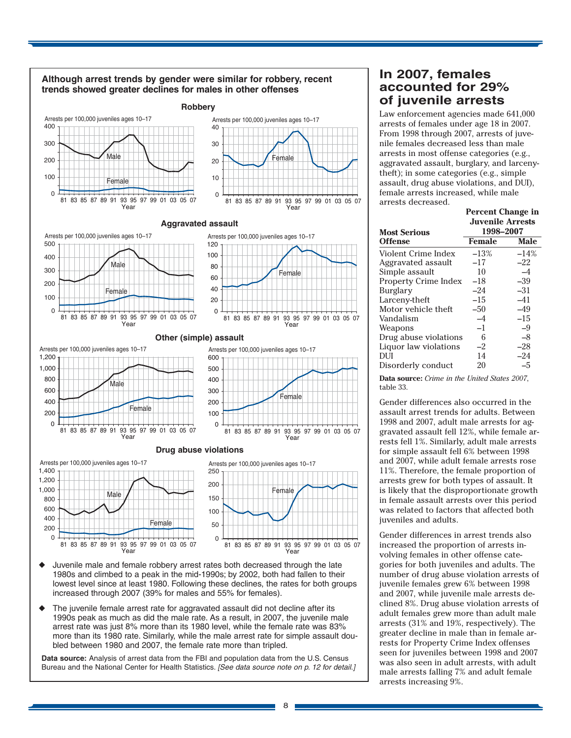

**In 2007, females accounted for 29% of juvenile arrests** 

Law enforcement agencies made 641,000 arrests of females under age 18 in 2007. From 1998 through 2007, arrests of juvenile females decreased less than male arrests in most offense categories (e.g., aggravated assault, burglary, and larcenytheft); in some categories (e.g., simple assault, drug abuse violations, and DUI), female arrests increased, while male arrests decreased.

|                       | <b>Percent Change in</b> |             |  |  |  |  |
|-----------------------|--------------------------|-------------|--|--|--|--|
|                       | <b>Juvenile Arrests</b>  |             |  |  |  |  |
| <b>Most Serious</b>   | 1998-2007                |             |  |  |  |  |
| Offense               | <b>Female</b>            | <b>Male</b> |  |  |  |  |
| Violent Crime Index   | $-13%$                   | $-14%$      |  |  |  |  |
| Aggravated assault    | $-17$                    | $-22$       |  |  |  |  |
| Simple assault        | 10                       | $-4$        |  |  |  |  |
| Property Crime Index  | $-18$                    | $-39$       |  |  |  |  |
| Burglary              | $-24$                    | $-31$       |  |  |  |  |
| Larcenv-theft         | $-15$                    | $-41$       |  |  |  |  |
| Motor vehicle theft   | $-50$                    | $-49$       |  |  |  |  |
| Vandalism             | $-4$                     | $-15$       |  |  |  |  |
| Weapons               | $-1$                     | $-9$        |  |  |  |  |
| Drug abuse violations | 6                        | $-8$        |  |  |  |  |
| Liquor law violations | $-2$                     | $-28$       |  |  |  |  |
| DUI                   | 14                       | $-24$       |  |  |  |  |
| Disorderly conduct    | 20                       | $-5$        |  |  |  |  |
|                       |                          |             |  |  |  |  |

**Data source:** *Crime in the United States 2007*, table 33.

Gender differences also occurred in the assault arrest trends for adults. Between 1998 and 2007, adult male arrests for aggravated assault fell 12%, while female arrests fell 1%. Similarly, adult male arrests for simple assault fell 6% between 1998 and 2007, while adult female arrests rose 11%. Therefore, the female proportion of arrests grew for both types of assault. It is likely that the disproportionate growth in female assault arrests over this period was related to factors that affected both juveniles and adults.

Gender differences in arrest trends also increased the proportion of arrests involving females in other offense categories for both juveniles and adults. The number of drug abuse violation arrests of juvenile females grew 6% between 1998 and 2007, while juvenile male arrests declined 8%. Drug abuse violation arrests of adult females grew more than adult male arrests (31% and 19%, respectively). The greater decline in male than in female arrests for Property Crime Index offenses seen for juveniles between 1998 and 2007 was also seen in adult arrests, with adult male arrests falling 7% and adult female arrests increasing 9%.

Juvenile male and female robbery arrest rates both decreased through the late 1980s and climbed to a peak in the mid-1990s; by 2002, both had fallen to their lowest level since at least 1980. Following these declines, the rates for both groups increased through 2007 (39% for males and 55% for females).

The juvenile female arrest rate for aggravated assault did not decline after its 1990s peak as much as did the male rate. As a result, in 2007, the juvenile male arrest rate was just 8% more than its 1980 level, while the female rate was 83% more than its 1980 rate. Similarly, while the male arrest rate for simple assault doubled between 1980 and 2007, the female rate more than tripled.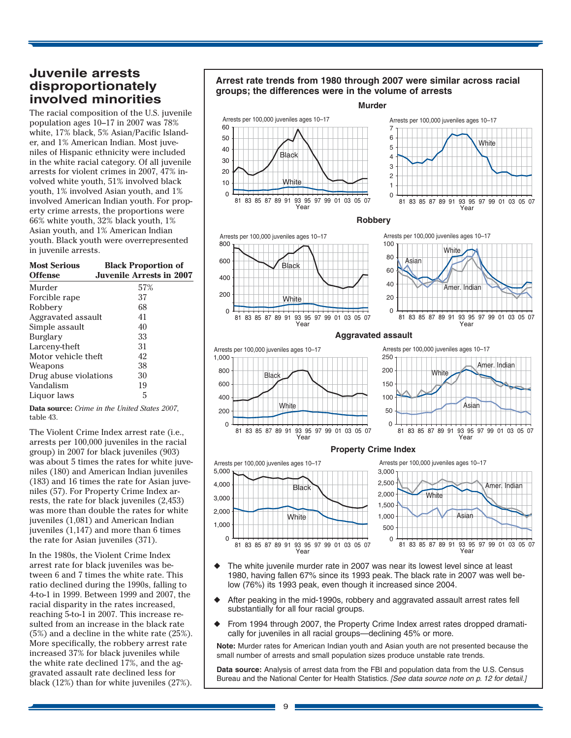# **Juvenile arrests disproportionately involved minorities**

The racial composition of the U.S. juvenile population ages 10–17 in 2007 was 78% white, 17% black, 5% Asian/Pacific Islander, and 1% American Indian. Most juveniles of Hispanic ethnicity were included in the white racial category. Of all juvenile arrests for violent crimes in 2007, 47% involved white youth, 51% involved black youth, 1% involved Asian youth, and 1% involved American Indian youth. For property crime arrests, the proportions were 66% white youth, 32% black youth, 1% Asian youth, and 1% American Indian youth. Black youth were overrepresented in juvenile arrests.

| <b>Most Serious</b><br><b>Offense</b> | <b>Black Proportion of</b><br><b>Juvenile Arrests in 2007</b> |
|---------------------------------------|---------------------------------------------------------------|
| Murder                                | 57%                                                           |
| Forcible rape                         | 37                                                            |
| Robbery                               | 68                                                            |
| Aggravated assault                    | 41                                                            |
| Simple assault                        | 40                                                            |
| Burglary                              | 33                                                            |
| Larceny-theft                         | 31                                                            |
| Motor vehicle theft                   | 42                                                            |
| Weapons                               | 38                                                            |
| Drug abuse violations                 | 30                                                            |
| Vandalism                             | 19                                                            |
| Liguor laws                           | 5                                                             |

**Data source:** *Crime in the United States 2007*, table 43.

The Violent Crime Index arrest rate (i.e., arrests per 100,000 juveniles in the racial group) in 2007 for black juveniles (903) was about 5 times the rates for white juveniles (180) and American Indian juveniles (183) and 16 times the rate for Asian juveniles (57). For Property Crime Index arrests, the rate for black juveniles (2,453) was more than double the rates for white juveniles (1,081) and American Indian juveniles (1,147) and more than 6 times the rate for Asian juveniles (371).

In the 1980s, the Violent Crime Index arrest rate for black juveniles was between 6 and 7 times the white rate. This ratio declined during the 1990s, falling to 4-to-1 in 1999. Between 1999 and 2007, the racial disparity in the rates increased, reaching 5-to-1 in 2007. This increase resulted from an increase in the black rate (5%) and a decline in the white rate (25%). More specifically, the robbery arrest rate increased 37% for black juveniles while the white rate declined 17%, and the aggravated assault rate declined less for black (12%) than for white juveniles (27%).



- low (76%) its 1993 peak, even though it increased since 2004.
- After peaking in the mid-1990s, robbery and aggravated assault arrest rates fell substantially for all four racial groups.
- From 1994 through 2007, the Property Crime Index arrest rates dropped dramatically for juveniles in all racial groups—declining 45% or more.

**Note:** Murder rates for American Indian youth and Asian youth are not presented because the small number of arrests and small population sizes produce unstable rate trends.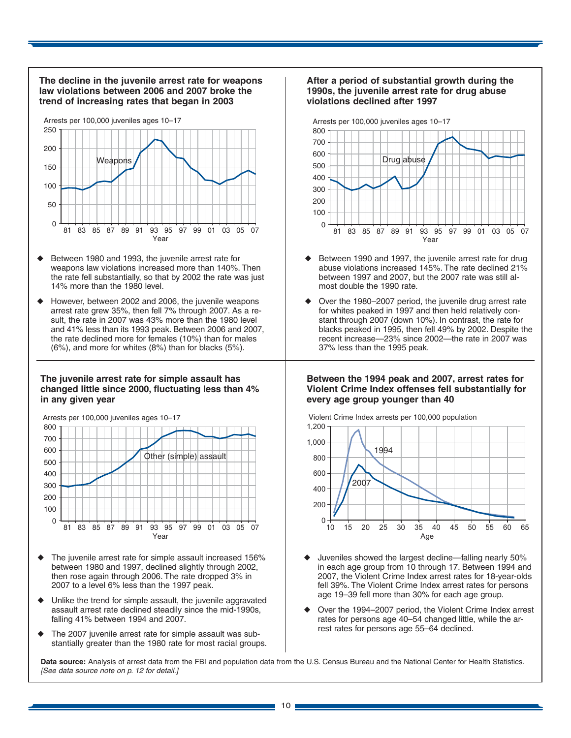

- Between 1980 and 1993, the juvenile arrest rate for weapons law violations increased more than 140%. Then the rate fell substantially, so that by 2002 the rate was just 14% more than the 1980 level.
- However, between 2002 and 2006, the juvenile weapons arrest rate grew 35%, then fell 7% through 2007. As a result, the rate in 2007 was 43% more than the 1980 level and 41% less than its 1993 peak. Between 2006 and 2007, the rate declined more for females (10%) than for males (6%), and more for whites (8%) than for blacks (5%).

#### **The juvenile arrest rate for simple assault has changed little since 2000, fluctuating less than 4% in any given year**



- The juvenile arrest rate for simple assault increased 156% between 1980 and 1997, declined slightly through 2002, then rose again through 2006. The rate dropped 3% in 2007 to a level 6% less than the 1997 peak.
- Unlike the trend for simple assault, the juvenile aggravated assault arrest rate declined steadily since the mid-1990s, falling 41% between 1994 and 2007.
- The 2007 juvenile arrest rate for simple assault was substantially greater than the 1980 rate for most racial groups.

## **After a period of substantial growth during the 1990s, the juvenile arrest rate for drug abuse violations declined after 1997**



- Between 1990 and 1997, the juvenile arrest rate for drug abuse violations increased 145%. The rate declined 21% between 1997 and 2007, but the 2007 rate was still almost double the 1990 rate.
- Over the 1980–2007 period, the juvenile drug arrest rate for whites peaked in 1997 and then held relatively constant through 2007 (down 10%). In contrast, the rate for blacks peaked in 1995, then fell 49% by 2002. Despite the recent increase—23% since 2002—the rate in 2007 was 37% less than the 1995 peak.

#### **Between the 1994 peak and 2007, arrest rates for Violent Crime Index offenses fell substantially for every age group younger than 40**



Violent Crime Index arrests per 100,000 population

 $\overline{a}$ Juveniles showed the largest decline—falling nearly 50% in each age group from 10 through 17. Between 1994 and 2007, the Violent Crime Index arrest rates for 18-year-olds fell 39%. The Violent Crime Index arrest rates for persons age 19–39 fell more than 30% for each age group.

 $\frac{1}{2}$ 

Over the 1994–2007 period, the Violent Crime Index arrest rates for persons age 40–54 changed little, while the arrest rates for persons age 55–64 declined.

**Data source:** Analysis of arrest data from the FBI and population data from the U.S. Census Bureau and the National Center for Health Statistics. [See data source note on p. 12 for detail.]

 $1<sub>0</sub>$ 

 $15$  $20^{\circ}$  $25$  $30$  $35^{\circ}$  $40$  $\overline{45}$  $50$  $55$  $60$  $65$ 

200  $\overline{0}$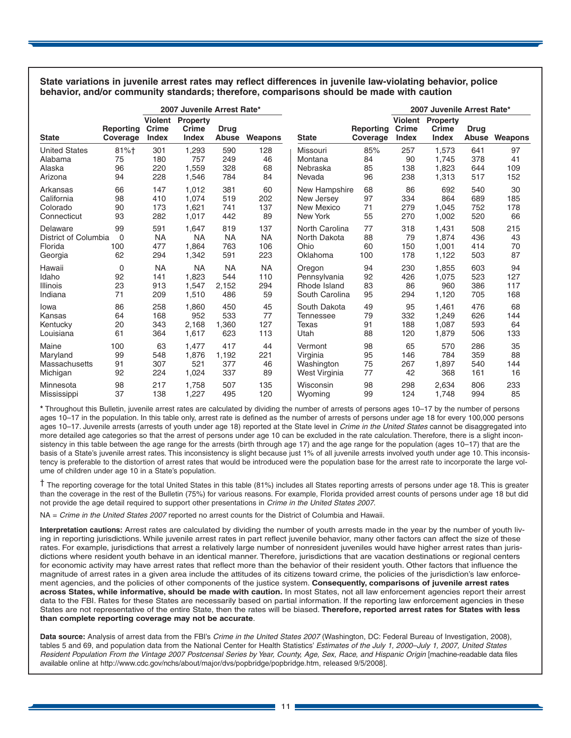**State variations in juvenile arrest rates may reflect differences in juvenile law-violating behavior, police behavior, and/or community standards; therefore, comparisons should be made with caution** 

|                      | 2007 Juvenile Arrest Rate* |                                  |                                          |                      |           |                  |                       | 2007 Juvenile Arrest Rate*       |                                          |                      |         |
|----------------------|----------------------------|----------------------------------|------------------------------------------|----------------------|-----------|------------------|-----------------------|----------------------------------|------------------------------------------|----------------------|---------|
| <b>State</b>         | Reporting<br>Coverage      | Violent<br><b>Crime</b><br>Index | <b>Property</b><br>Crime<br><b>Index</b> | <b>Drug</b><br>Abuse | Weapons   | <b>State</b>     | Reporting<br>Coverage | Violent<br>Crime<br><b>Index</b> | <b>Property</b><br>Crime<br><b>Index</b> | <b>Drug</b><br>Abuse | Weapons |
| <b>United States</b> | 81%+                       | 301                              | 1,293                                    | 590                  | 128       | Missouri         | 85%                   | 257                              | 1.573                                    | 641                  | 97      |
| Alabama              | 75                         | 180                              | 757                                      | 249                  | 46        | Montana          | 84                    | 90                               | 1.745                                    | 378                  | 41      |
| Alaska               | 96                         | 220                              | 1.559                                    | 328                  | 68        | Nebraska         | 85                    | 138                              | 1.823                                    | 644                  | 109     |
| Arizona              | 94                         | 228                              | 1,546                                    | 784                  | 84        | Nevada           | 96                    | 238                              | 1,313                                    | 517                  | 152     |
| Arkansas             | 66                         | 147                              | 1.012                                    | 381                  | 60        | New Hampshire    | 68                    | 86                               | 692                                      | 540                  | 30      |
| California           | 98                         | 410                              | 1.074                                    | 519                  | 202       | New Jersey       | 97                    | 334                              | 864                                      | 689                  | 185     |
| Colorado             | 90                         | 173                              | 1.621                                    | 741                  | 137       | New Mexico       | 71                    | 279                              | 1.045                                    | 752                  | 178     |
| Connecticut          | 93                         | 282                              | 1,017                                    | 442                  | 89        | New York         | 55                    | 270                              | 1,002                                    | 520                  | 66      |
| Delaware             | 99                         | 591                              | 1.647                                    | 819                  | 137       | North Carolina   | 77                    | 318                              | 1.431                                    | 508                  | 215     |
| District of Columbia | $\mathbf 0$                | <b>NA</b>                        | <b>NA</b>                                | <b>NA</b>            | <b>NA</b> | North Dakota     | 88                    | 79                               | 1.874                                    | 436                  | 43      |
| Florida              | 100                        | 477                              | 1.864                                    | 763                  | 106       | Ohio             | 60                    | 150                              | 1.001                                    | 414                  | 70      |
| Georgia              | 62                         | 294                              | 1,342                                    | 591                  | 223       | Oklahoma         | 100                   | 178                              | 1,122                                    | 503                  | 87      |
| Hawaii               | $\mathbf 0$                | <b>NA</b>                        | <b>NA</b>                                | <b>NA</b>            | <b>NA</b> | Oregon           | 94                    | 230                              | 1.855                                    | 603                  | 94      |
| Idaho                | 92                         | 141                              | 1.823                                    | 544                  | 110       | Pennsylvania     | 92                    | 426                              | 1.075                                    | 523                  | 127     |
| <b>Illinois</b>      | 23                         | 913                              | 1,547                                    | 2,152                | 294       | Rhode Island     | 83                    | 86                               | 960                                      | 386                  | 117     |
| Indiana              | 71                         | 209                              | 1,510                                    | 486                  | 59        | South Carolina   | 95                    | 294                              | 1,120                                    | 705                  | 168     |
| lowa                 | 86                         | 258                              | 1.860                                    | 450                  | 45        | South Dakota     | 49                    | 95                               | 1.461                                    | 476                  | 68      |
| Kansas               | 64                         | 168                              | 952                                      | 533                  | 77        | <b>Tennessee</b> | 79                    | 332                              | 1.249                                    | 626                  | 144     |
| Kentucky             | 20                         | 343                              | 2,168                                    | 1,360                | 127       | <b>Texas</b>     | 91                    | 188                              | 1,087                                    | 593                  | 64      |
| Louisiana            | 61                         | 364                              | 1,617                                    | 623                  | 113       | Utah             | 88                    | 120                              | 1,879                                    | 506                  | 133     |
| Maine                | 100                        | 63                               | 1.477                                    | 417                  | 44        | Vermont          | 98                    | 65                               | 570                                      | 286                  | 35      |
| Maryland             | 99                         | 548                              | 1.876                                    | 1,192                | 221       | Virginia         | 95                    | 146                              | 784                                      | 359                  | 88      |
| Massachusetts        | 91                         | 307                              | 521                                      | 377                  | 46        | Washington       | 75                    | 267                              | 1,897                                    | 540                  | 144     |
| Michigan             | 92                         | 224                              | 1,024                                    | 337                  | 89        | West Virginia    | 77                    | 42                               | 368                                      | 161                  | 16      |
| Minnesota            | 98                         | 217                              | 1.758                                    | 507                  | 135       | Wisconsin        | 98                    | 298                              | 2.634                                    | 806                  | 233     |
| Mississippi          | 37                         | 138                              | 1,227                                    | 495                  | 120       | Wyoming          | 99                    | 124                              | 1,748                                    | 994                  | 85      |

**\*** Throughout this Bulletin, juvenile arrest rates are calculated by dividing the number of arrests of persons ages 10–17 by the number of persons ages 10–17 in the population. In this table only, arrest rate is defined as the number of arrests of persons under age 18 for every 100,000 persons ages 10-17. Juvenile arrests (arrests of youth under age 18) reported at the State level in Crime in the United States cannot be disaggregated into more detailed age categories so that the arrest of persons under age 10 can be excluded in the rate calculation. Therefore, there is a slight inconsistency in this table between the age range for the arrests (birth through age 17) and the age range for the population (ages 10–17) that are the basis of a State's juvenile arrest rates. This inconsistency is slight because just 1% of all juvenile arrests involved youth under age 10. This inconsistency is preferable to the distortion of arrest rates that would be introduced were the population base for the arrest rate to incorporate the large volume of children under age 10 in a State's population.

† The reporting coverage for the total United States in this table (81%) includes all States reporting arrests of persons under age 18. This is greater than the coverage in the rest of the Bulletin (75%) for various reasons. For example, Florida provided arrest counts of persons under age 18 but did not provide the age detail required to support other presentations in Crime in the United States 2007.

NA = Crime in the United States 2007 reported no arrest counts for the District of Columbia and Hawaii.

**Interpretation cautions:** Arrest rates are calculated by dividing the number of youth arrests made in the year by the number of youth living in reporting jurisdictions. While juvenile arrest rates in part reflect juvenile behavior, many other factors can affect the size of these rates. For example, jurisdictions that arrest a relatively large number of nonresident juveniles would have higher arrest rates than jurisdictions where resident youth behave in an identical manner. Therefore, jurisdictions that are vacation destinations or regional centers for economic activity may have arrest rates that reflect more than the behavior of their resident youth. Other factors that influence the magnitude of arrest rates in a given area include the attitudes of its citizens toward crime, the policies of the jurisdiction's law enforcement agencies, and the policies of other components of the justice system. **Consequently, comparisons of juvenile arrest rates across States, while informative, should be made with caution.** In most States, not all law enforcement agencies report their arrest data to the FBI. Rates for these States are necessarily based on partial information. If the reporting law enforcement agencies in these States are not representative of the entire State, then the rates will be biased. **Therefore, reported arrest rates for States with less than complete reporting coverage may not be accurate**.

**Data source:** Analysis of arrest data from the FBI's Crime in the United States 2007 (Washington, DC: Federal Bureau of Investigation, 2008), tables 5 and 69, and population data from the National Center for Health Statistics' Estimates of the July 1, 2000–July 1, 2007, United States Resident Population From the Vintage 2007 Postcensal Series by Year, County, Age, Sex, Race, and Hispanic Origin [machine-readable data files available online at http://www.cdc.gov/nchs/about/major/dvs/popbridge/popbridge.htm, released 9/5/2008].